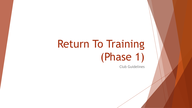# Return To Training (Phase 1)

Club Guidelines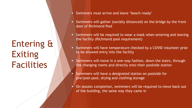## Entering & Exiting Facilities

- Swimmers must arrive and leave 'beach-ready'
- Swimmers will gather (socially distanced) on the bridge by the front door of Richmond Pool
- **EXED Swimmers will be required to wear a mask when entering and leaving** the facility (Richmond pool requirement)
- **EX Swimmers will have temperature checked by a COVID volunteer prior** to be allowed entry into the facility
- Swimmers will move in a one-way fashion, down the stairs, through the changing rooms and directly onto their poolside station
- Swimmers will have a designated station on poolside for pre/post-pool, drying and clothing storage
- On session completion, swimmers will be required to move back out of the building, the same way they came in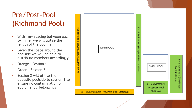## Pre/Post-Pool (Richmond Pool)

- With 1m+ spacing between each swimmer we will utilise the length of the pool hall
- Given the space around the poolside we will be able to distribute members accordingly
- Orange Session 1
- Green Session 2
- Session 2 will utilise the opposite poolside to session 1 to ensure no contamination of equipment / belongings

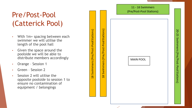### Pre/Post-Pool (Catterick Pool)

- With 1m+ spacing between each swimmer we will utilise the length of the pool hall
- Given the space around the poolside we will be able to distribute members accordingly
- Orange Session 1
- Green Session 2
- Session 2 will utilise the opposite poolside to session 1 to ensure no contamination of equipment / belongings



နှ ម្ព

Swimmers

(Pre

/Post-Pool Stations

Swimmers (Pre/Post-Pool Stations)

œ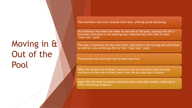## Moving in & Out of the Pool

The swimmers will move towards their lane, utilising social distancing

All swimmers will enter the water at one end of the pool, starting with the 3 swimmers allocated to the starting end, meaning they swim 50m to their 'stop/start' point

The next 3 swimmers (in the same lane), allocated to the turning end will follow on behind, only swimming 25m to their 'stop/start' point.

This process will start with the furthest lane first

When the session has finished, swimmers will exit the pool from one end, starting with the lane furthest away from the pre/post-pool stations.

Again this will work to ensure swimmers move onto their station, adhering to social distancing measures.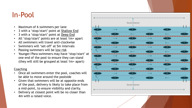## In-Pool

- Maximum of 6 swimmers per lane
- 3 with a 'stop/start' point at Shallow End
- 3 with a 'stop/start' point at Deep End
- All 'stop/start' points are at least 1m+ apart
- All swimmers will travel anti-clockwise
- Swimmers will 'set-off' at 5m intervals
- Passing swimmers will be low risk
- Younger/Para swimmers may have 'stop/start' at one end of the pool to ensure they can stand (they will still be grouped at least 1m+ apart)

#### **Coaching**

- Once all swimmers enter the pool, coaches will be able to move around the poolside
- Given that swimmers will be at opposite ends of the pool, delivery is likely to take place from a mid-point, to ensure visibility and clarity.
- Delivery at closest point will be no closer than 4m with a raised voice.

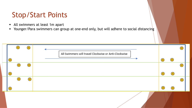## Stop/Start Points

- All swimmers at least 1m apart
- Younger/Para swimmers can group at one-end only, but will adhere to social distancing